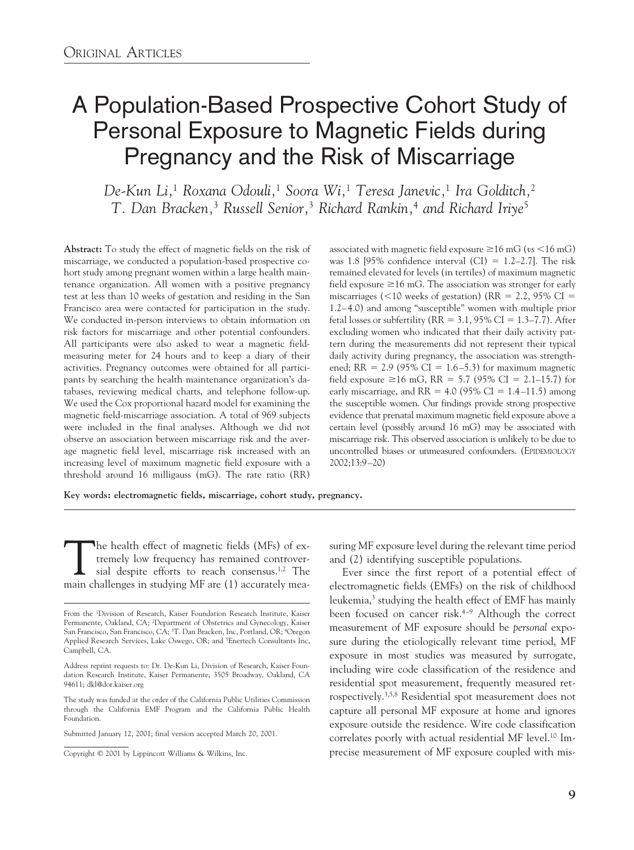# A Population-Based Prospective Cohort Study of Personal Exposure to Magnetic Fields during Pregnancy and the Risk of Miscarriage

*De-Kun Li,*<sup>1</sup> *Roxana Odouli,*<sup>1</sup> *Soora Wi,*<sup>1</sup> *Teresa Janevic,*<sup>1</sup> *Ira Golditch,*<sup>2</sup> *T. Dan Bracken,*<sup>3</sup> *Russell Senior,*<sup>3</sup> *Richard Rankin,*<sup>4</sup> *and Richard Iriye*<sup>5</sup>

**Abstract:** To study the effect of magnetic fields on the risk of miscarriage, we conducted a population-based prospective cohort study among pregnant women within a large health maintenance organization. All women with a positive pregnancy test at less than 10 weeks of gestation and residing in the San Francisco area were contacted for participation in the study. We conducted in-person interviews to obtain information on risk factors for miscarriage and other potential confounders. All participants were also asked to wear a magnetic fieldmeasuring meter for 24 hours and to keep a diary of their activities. Pregnancy outcomes were obtained for all participants by searching the health maintenance organization's databases, reviewing medical charts, and telephone follow-up. We used the Cox proportional hazard model for examining the magnetic field-miscarriage association. A total of 969 subjects were included in the final analyses. Although we did not observe an association between miscarriage risk and the average magnetic field level, miscarriage risk increased with an increasing level of maximum magnetic field exposure with a threshold around 16 milligauss (mG). The rate ratio (RR)

associated with magnetic field exposure  $\geq 16$  mG ( $vs$  < 16 mG) was 1.8 [95% confidence interval  $(CI) = 1.2-2.7$ ]. The risk remained elevated for levels (in tertiles) of maximum magnetic field exposure  $\geq 16$  mG. The association was stronger for early miscarriages ( $<$ 10 weeks of gestation) (RR = 2.2, 95% CI = 1.2–4.0) and among "susceptible" women with multiple prior fetal losses or subfertility ( $RR = 3.1$ ,  $95\%$  CI = 1.3–7.7). After excluding women who indicated that their daily activity pattern during the measurements did not represent their typical daily activity during pregnancy, the association was strengthened;  $RR = 2.9$  (95%  $CI = 1.6 - 5.3$ ) for maximum magnetic field exposure  $\geq 16$  mG, RR = 5.7 (95% CI = 2.1–15.7) for early miscarriage, and  $RR = 4.0$  (95% CI = 1.4–11.5) among the susceptible women. Our findings provide strong prospective evidence that prenatal maximum magnetic field exposure above a certain level (possibly around 16 mG) may be associated with miscarriage risk. This observed association is unlikely to be due to uncontrolled biases or unmeasured confounders. (EPIDEMIOLOGY 2002;13:9–20)

**Key words: electromagnetic fields, miscarriage, cohort study, pregnancy.**

The health effect of magnetic fields (MFs) of ex-<br>tremely low frequency has remained controver-<br>sial despite efforts to reach consensus.<sup>1,2</sup> The<br>main challenges in studying ME are (1) accurately meatremely low frequency has remained controvermain challenges in studying MF are (1) accurately mea-

suring MF exposure level during the relevant time period and (2) identifying susceptible populations.

Ever since the first report of a potential effect of electromagnetic fields (EMFs) on the risk of childhood leukemia,<sup>3</sup> studying the health effect of EMF has mainly been focused on cancer risk.<sup>4-9</sup> Although the correct measurement of MF exposure should be *personal* exposure during the etiologically relevant time period, MF exposure in most studies was measured by surrogate, including wire code classification of the residence and residential spot measurement, frequently measured retrospectively.3,5,8 Residential spot measurement does not capture all personal MF exposure at home and ignores exposure outside the residence. Wire code classification correlates poorly with actual residential MF level.10 Imprecise measurement of MF exposure coupled with mis-

From the <sup>1</sup>Division of Research, Kaiser Foundation Research Institute, Kaiser Permanente, Oakland, CA; <sup>2</sup>Department of Obstetrics and Gynecology, Kaiser San Francisco, San Francisco, CA; <sup>3</sup>T. Dan Bracken, Inc, Portland, OR; <sup>4</sup>Oregon Applied Research Services, Lake Oswego, OR; and <sup>5</sup>Enertech Consultants Inc, Campbell, CA.

Address reprint requests to: Dr. De-Kun Li, Division of Research, Kaiser Foundation Research Institute, Kaiser Permanente, 3505 Broadway, Oakland, CA 94611; dkl@dor.kaiser.org

The study was funded at the order of the California Public Utilities Commission through the California EMF Program and the California Public Health Foundation.

Submitted January 12, 2001; final version accepted March 20, 2001.

Copyright © 2001 by Lippincott Williams & Wilkins, Inc.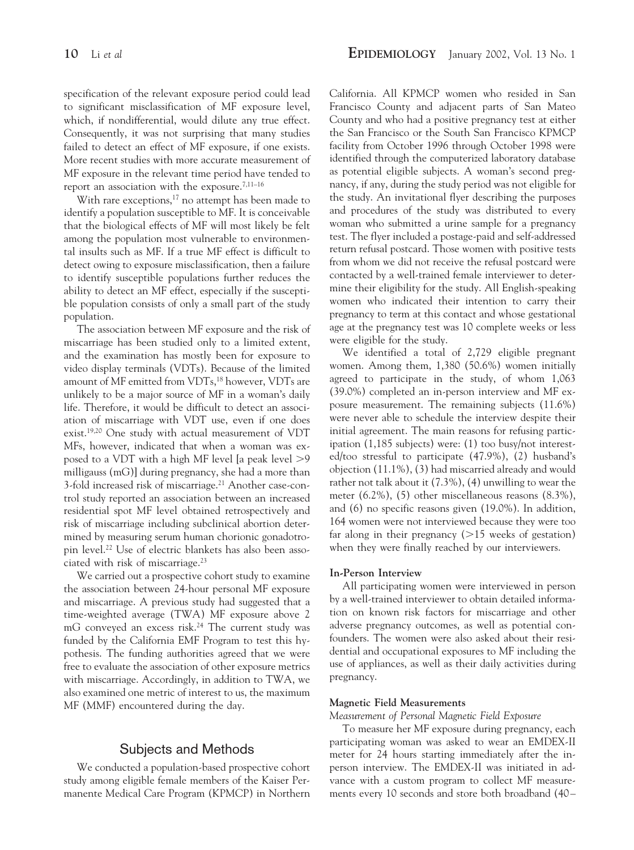specification of the relevant exposure period could lead to significant misclassification of MF exposure level, which, if nondifferential, would dilute any true effect. Consequently, it was not surprising that many studies failed to detect an effect of MF exposure, if one exists. More recent studies with more accurate measurement of MF exposure in the relevant time period have tended to report an association with the exposure.<sup>7,11-16</sup>

With rare exceptions,<sup>17</sup> no attempt has been made to identify a population susceptible to MF. It is conceivable that the biological effects of MF will most likely be felt among the population most vulnerable to environmental insults such as MF. If a true MF effect is difficult to detect owing to exposure misclassification, then a failure to identify susceptible populations further reduces the ability to detect an MF effect, especially if the susceptible population consists of only a small part of the study population.

The association between MF exposure and the risk of miscarriage has been studied only to a limited extent, and the examination has mostly been for exposure to video display terminals (VDTs). Because of the limited amount of MF emitted from VDTs,18 however, VDTs are unlikely to be a major source of MF in a woman's daily life. Therefore, it would be difficult to detect an association of miscarriage with VDT use, even if one does exist.19,20 One study with actual measurement of VDT MFs, however, indicated that when a woman was exposed to a VDT with a high MF level [a peak level  $>9$ milligauss (mG)] during pregnancy, she had a more than 3-fold increased risk of miscarriage.<sup>21</sup> Another case-control study reported an association between an increased residential spot MF level obtained retrospectively and risk of miscarriage including subclinical abortion determined by measuring serum human chorionic gonadotropin level.22 Use of electric blankets has also been associated with risk of miscarriage.23

We carried out a prospective cohort study to examine the association between 24-hour personal MF exposure and miscarriage. A previous study had suggested that a time-weighted average (TWA) MF exposure above 2 mG conveyed an excess risk.<sup>24</sup> The current study was funded by the California EMF Program to test this hypothesis. The funding authorities agreed that we were free to evaluate the association of other exposure metrics with miscarriage. Accordingly, in addition to TWA, we also examined one metric of interest to us, the maximum MF (MMF) encountered during the day.

## Subjects and Methods

We conducted a population-based prospective cohort study among eligible female members of the Kaiser Permanente Medical Care Program (KPMCP) in Northern California. All KPMCP women who resided in San Francisco County and adjacent parts of San Mateo County and who had a positive pregnancy test at either the San Francisco or the South San Francisco KPMCP facility from October 1996 through October 1998 were identified through the computerized laboratory database as potential eligible subjects. A woman's second pregnancy, if any, during the study period was not eligible for the study. An invitational flyer describing the purposes and procedures of the study was distributed to every woman who submitted a urine sample for a pregnancy test. The flyer included a postage-paid and self-addressed return refusal postcard. Those women with positive tests from whom we did not receive the refusal postcard were contacted by a well-trained female interviewer to determine their eligibility for the study. All English-speaking women who indicated their intention to carry their pregnancy to term at this contact and whose gestational age at the pregnancy test was 10 complete weeks or less were eligible for the study.

We identified a total of 2,729 eligible pregnant women. Among them, 1,380 (50.6%) women initially agreed to participate in the study, of whom 1,063 (39.0%) completed an in-person interview and MF exposure measurement. The remaining subjects (11.6%) were never able to schedule the interview despite their initial agreement. The main reasons for refusing participation (1,185 subjects) were: (1) too busy/not interested/too stressful to participate (47.9%), (2) husband's objection (11.1%), (3) had miscarried already and would rather not talk about it (7.3%), (4) unwilling to wear the meter (6.2%), (5) other miscellaneous reasons (8.3%), and (6) no specific reasons given (19.0%). In addition, 164 women were not interviewed because they were too far along in their pregnancy  $(>15$  weeks of gestation) when they were finally reached by our interviewers.

### **In-Person Interview**

All participating women were interviewed in person by a well-trained interviewer to obtain detailed information on known risk factors for miscarriage and other adverse pregnancy outcomes, as well as potential confounders. The women were also asked about their residential and occupational exposures to MF including the use of appliances, as well as their daily activities during pregnancy.

#### **Magnetic Field Measurements**

*Measurement of Personal Magnetic Field Exposure*

To measure her MF exposure during pregnancy, each participating woman was asked to wear an EMDEX-II meter for 24 hours starting immediately after the inperson interview. The EMDEX-II was initiated in advance with a custom program to collect MF measurements every 10 seconds and store both broadband (40–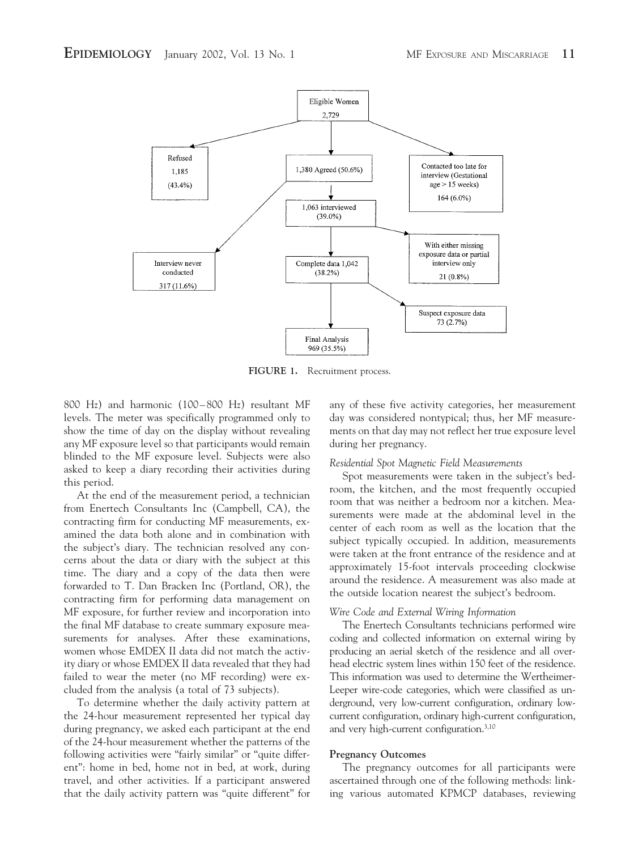

**FIGURE 1.** Recruitment process.

800 Hz) and harmonic (100–800 Hz) resultant MF levels. The meter was specifically programmed only to show the time of day on the display without revealing any MF exposure level so that participants would remain blinded to the MF exposure level. Subjects were also asked to keep a diary recording their activities during this period.

At the end of the measurement period, a technician from Enertech Consultants Inc (Campbell, CA), the contracting firm for conducting MF measurements, examined the data both alone and in combination with the subject's diary. The technician resolved any concerns about the data or diary with the subject at this time. The diary and a copy of the data then were forwarded to T. Dan Bracken Inc (Portland, OR), the contracting firm for performing data management on MF exposure, for further review and incorporation into the final MF database to create summary exposure measurements for analyses. After these examinations, women whose EMDEX II data did not match the activity diary or whose EMDEX II data revealed that they had failed to wear the meter (no MF recording) were excluded from the analysis (a total of 73 subjects).

To determine whether the daily activity pattern at the 24-hour measurement represented her typical day during pregnancy, we asked each participant at the end of the 24-hour measurement whether the patterns of the following activities were "fairly similar" or "quite different": home in bed, home not in bed, at work, during travel, and other activities. If a participant answered that the daily activity pattern was "quite different" for any of these five activity categories, her measurement day was considered nontypical; thus, her MF measurements on that day may not reflect her true exposure level during her pregnancy.

#### *Residential Spot Magnetic Field Measurements*

Spot measurements were taken in the subject's bedroom, the kitchen, and the most frequently occupied room that was neither a bedroom nor a kitchen. Measurements were made at the abdominal level in the center of each room as well as the location that the subject typically occupied. In addition, measurements were taken at the front entrance of the residence and at approximately 15-foot intervals proceeding clockwise around the residence. A measurement was also made at the outside location nearest the subject's bedroom.

#### *Wire Code and External Wiring Information*

The Enertech Consultants technicians performed wire coding and collected information on external wiring by producing an aerial sketch of the residence and all overhead electric system lines within 150 feet of the residence. This information was used to determine the Wertheimer-Leeper wire-code categories, which were classified as underground, very low-current configuration, ordinary lowcurrent configuration, ordinary high-current configuration, and very high-current configuration.<sup>3,10</sup>

#### **Pregnancy Outcomes**

The pregnancy outcomes for all participants were ascertained through one of the following methods: linking various automated KPMCP databases, reviewing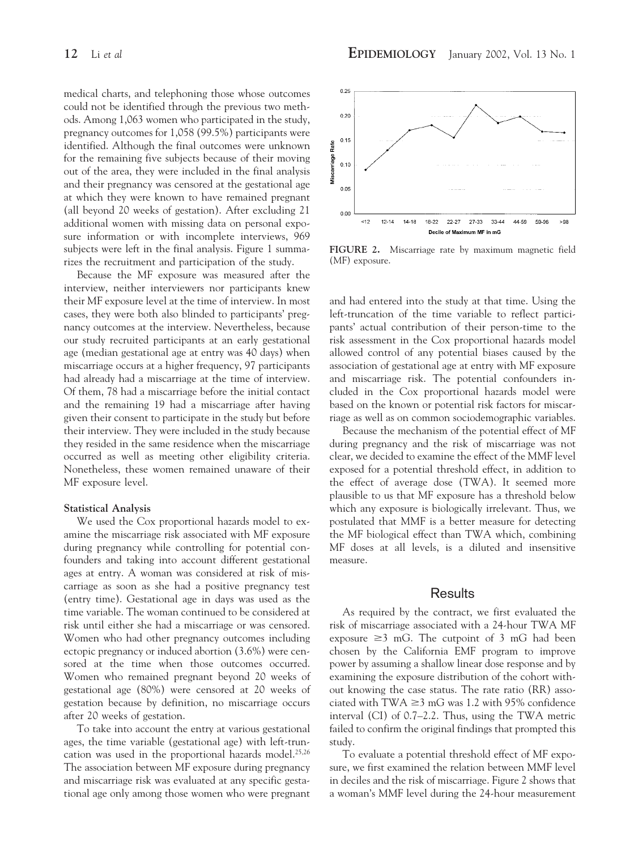medical charts, and telephoning those whose outcomes could not be identified through the previous two methods. Among 1,063 women who participated in the study, pregnancy outcomes for 1,058 (99.5%) participants were identified. Although the final outcomes were unknown for the remaining five subjects because of their moving out of the area, they were included in the final analysis and their pregnancy was censored at the gestational age at which they were known to have remained pregnant (all beyond 20 weeks of gestation). After excluding 21 additional women with missing data on personal exposure information or with incomplete interviews, 969 subjects were left in the final analysis. Figure 1 summarizes the recruitment and participation of the study.

Because the MF exposure was measured after the interview, neither interviewers nor participants knew their MF exposure level at the time of interview. In most cases, they were both also blinded to participants' pregnancy outcomes at the interview. Nevertheless, because our study recruited participants at an early gestational age (median gestational age at entry was 40 days) when miscarriage occurs at a higher frequency, 97 participants had already had a miscarriage at the time of interview. Of them, 78 had a miscarriage before the initial contact and the remaining 19 had a miscarriage after having given their consent to participate in the study but before their interview. They were included in the study because they resided in the same residence when the miscarriage occurred as well as meeting other eligibility criteria. Nonetheless, these women remained unaware of their MF exposure level.

#### **Statistical Analysis**

We used the Cox proportional hazards model to examine the miscarriage risk associated with MF exposure during pregnancy while controlling for potential confounders and taking into account different gestational ages at entry. A woman was considered at risk of miscarriage as soon as she had a positive pregnancy test (entry time). Gestational age in days was used as the time variable. The woman continued to be considered at risk until either she had a miscarriage or was censored. Women who had other pregnancy outcomes including ectopic pregnancy or induced abortion (3.6%) were censored at the time when those outcomes occurred. Women who remained pregnant beyond 20 weeks of gestational age (80%) were censored at 20 weeks of gestation because by definition, no miscarriage occurs after 20 weeks of gestation.

To take into account the entry at various gestational ages, the time variable (gestational age) with left-truncation was used in the proportional hazards model.25,26 The association between MF exposure during pregnancy and miscarriage risk was evaluated at any specific gestational age only among those women who were pregnant



**FIGURE 2.** Miscarriage rate by maximum magnetic field (MF) exposure.

and had entered into the study at that time. Using the left-truncation of the time variable to reflect participants' actual contribution of their person-time to the risk assessment in the Cox proportional hazards model allowed control of any potential biases caused by the association of gestational age at entry with MF exposure and miscarriage risk. The potential confounders included in the Cox proportional hazards model were based on the known or potential risk factors for miscarriage as well as on common sociodemographic variables.

Because the mechanism of the potential effect of MF during pregnancy and the risk of miscarriage was not clear, we decided to examine the effect of the MMF level exposed for a potential threshold effect, in addition to the effect of average dose (TWA). It seemed more plausible to us that MF exposure has a threshold below which any exposure is biologically irrelevant. Thus, we postulated that MMF is a better measure for detecting the MF biological effect than TWA which, combining MF doses at all levels, is a diluted and insensitive measure.

#### **Results**

As required by the contract, we first evaluated the risk of miscarriage associated with a 24-hour TWA MF exposure  $\geq$ 3 mG. The cutpoint of 3 mG had been chosen by the California EMF program to improve power by assuming a shallow linear dose response and by examining the exposure distribution of the cohort without knowing the case status. The rate ratio (RR) associated with TWA  $\geq$ 3 mG was 1.2 with 95% confidence interval (CI) of 0.7–2.2. Thus, using the TWA metric failed to confirm the original findings that prompted this study.

To evaluate a potential threshold effect of MF exposure, we first examined the relation between MMF level in deciles and the risk of miscarriage. Figure 2 shows that a woman's MMF level during the 24-hour measurement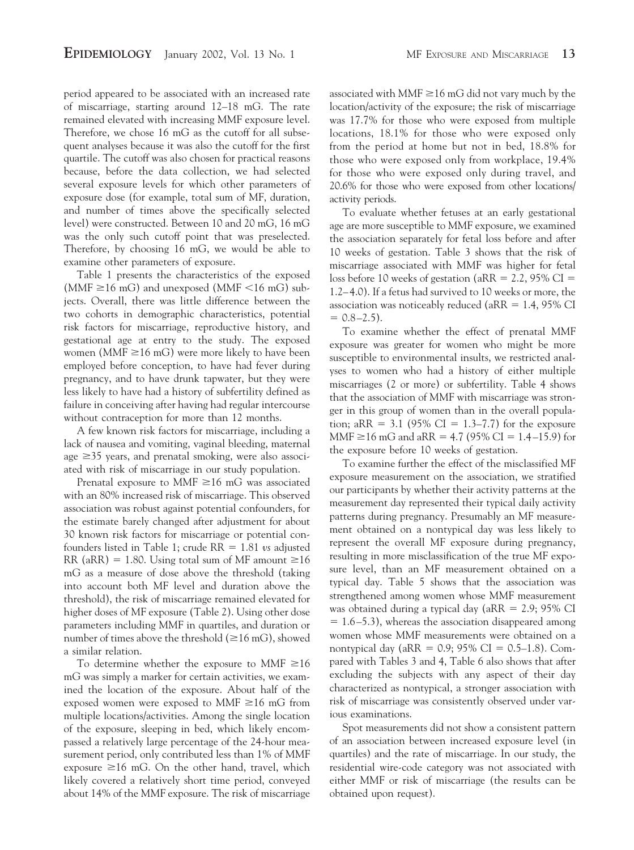period appeared to be associated with an increased rate of miscarriage, starting around 12–18 mG. The rate remained elevated with increasing MMF exposure level. Therefore, we chose 16 mG as the cutoff for all subsequent analyses because it was also the cutoff for the first quartile. The cutoff was also chosen for practical reasons because, before the data collection, we had selected several exposure levels for which other parameters of exposure dose (for example, total sum of MF, duration, and number of times above the specifically selected level) were constructed. Between 10 and 20 mG, 16 mG was the only such cutoff point that was preselected. Therefore, by choosing 16 mG, we would be able to examine other parameters of exposure.

Table 1 presents the characteristics of the exposed (MMF  $\geq$ 16 mG) and unexposed (MMF <16 mG) subjects. Overall, there was little difference between the two cohorts in demographic characteristics, potential risk factors for miscarriage, reproductive history, and gestational age at entry to the study. The exposed women (MMF  $\geq 16$  mG) were more likely to have been employed before conception, to have had fever during pregnancy, and to have drunk tapwater, but they were less likely to have had a history of subfertility defined as failure in conceiving after having had regular intercourse without contraception for more than 12 months.

A few known risk factors for miscarriage, including a lack of nausea and vomiting, vaginal bleeding, maternal age  $\geq$ 35 years, and prenatal smoking, were also associated with risk of miscarriage in our study population.

Prenatal exposure to MMF  $\geq 16$  mG was associated with an 80% increased risk of miscarriage. This observed association was robust against potential confounders, for the estimate barely changed after adjustment for about 30 known risk factors for miscarriage or potential confounders listed in Table 1; crude RR - 1.81 *vs* adjusted RR (aRR) = 1.80. Using total sum of MF amount  $\geq$ 16 mG as a measure of dose above the threshold (taking into account both MF level and duration above the threshold), the risk of miscarriage remained elevated for higher doses of MF exposure (Table 2). Using other dose parameters including MMF in quartiles, and duration or number of times above the threshold ( $\geq 16$  mG), showed a similar relation.

To determine whether the exposure to MMF  $\geq 16$ mG was simply a marker for certain activities, we examined the location of the exposure. About half of the exposed women were exposed to MMF  $\geq 16$  mG from multiple locations/activities. Among the single location of the exposure, sleeping in bed, which likely encompassed a relatively large percentage of the 24-hour measurement period, only contributed less than 1% of MMF exposure  $\geq 16$  mG. On the other hand, travel, which likely covered a relatively short time period, conveyed about 14% of the MMF exposure. The risk of miscarriage associated with MMF $\geq 16$  mG did not vary much by the location/activity of the exposure; the risk of miscarriage was 17.7% for those who were exposed from multiple locations, 18.1% for those who were exposed only from the period at home but not in bed, 18.8% for those who were exposed only from workplace, 19.4% for those who were exposed only during travel, and 20.6% for those who were exposed from other locations/ activity periods.

To evaluate whether fetuses at an early gestational age are more susceptible to MMF exposure, we examined the association separately for fetal loss before and after 10 weeks of gestation. Table 3 shows that the risk of miscarriage associated with MMF was higher for fetal loss before 10 weeks of gestation ( $aRR = 2.2$ , 95% CI = 1.2–4.0). If a fetus had survived to 10 weeks or more, the association was noticeably reduced (a $RR = 1.4$ , 95% CI  $= 0.8 - 2.5$ .

To examine whether the effect of prenatal MMF exposure was greater for women who might be more susceptible to environmental insults, we restricted analyses to women who had a history of either multiple miscarriages (2 or more) or subfertility. Table 4 shows that the association of MMF with miscarriage was stronger in this group of women than in the overall population; aRR =  $3.1$  (95% CI =  $1.3-7.7$ ) for the exposure MMF  $\geq$ 16 mG and aRR = 4.7 (95% CI = 1.4–15.9) for the exposure before 10 weeks of gestation.

To examine further the effect of the misclassified MF exposure measurement on the association, we stratified our participants by whether their activity patterns at the measurement day represented their typical daily activity patterns during pregnancy. Presumably an MF measurement obtained on a nontypical day was less likely to represent the overall MF exposure during pregnancy, resulting in more misclassification of the true MF exposure level, than an MF measurement obtained on a typical day. Table 5 shows that the association was strengthened among women whose MMF measurement was obtained during a typical day (aRR = 2.9; 95% CI - 1.6–5.3), whereas the association disappeared among women whose MMF measurements were obtained on a nontypical day (a $RR = 0.9$ ; 95% CI = 0.5–1.8). Compared with Tables 3 and 4, Table 6 also shows that after excluding the subjects with any aspect of their day characterized as nontypical, a stronger association with risk of miscarriage was consistently observed under various examinations.

Spot measurements did not show a consistent pattern of an association between increased exposure level (in quartiles) and the rate of miscarriage. In our study, the residential wire-code category was not associated with either MMF or risk of miscarriage (the results can be obtained upon request).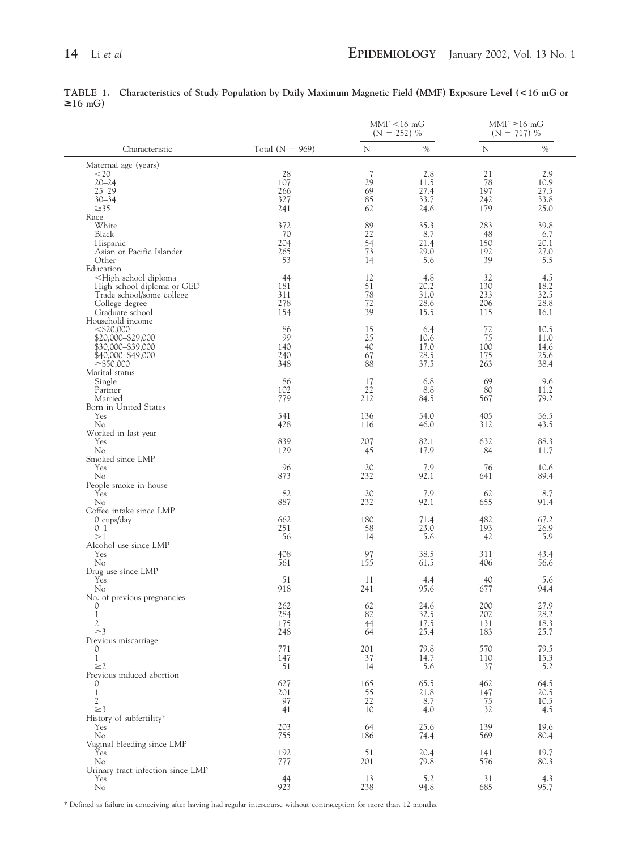|                                                                 |                   |                                | $MMF < 16$ mG<br>$(N = 252)$ % | MMF $\geq 16$ mG<br>$(N = 717) %$ |              |  |
|-----------------------------------------------------------------|-------------------|--------------------------------|--------------------------------|-----------------------------------|--------------|--|
| Characteristic                                                  | Total $(N = 969)$ | N                              | $\%$                           | N                                 | $\%$         |  |
| Maternal age (years)                                            |                   |                                |                                |                                   |              |  |
| $<$ 20<br>$20 - 24$                                             | 28<br>107         | $\overline{\mathcal{U}}$<br>29 | 2.8<br>11.5                    | 21<br>78                          | 2.9<br>10.9  |  |
| $25 - 29$                                                       | 266               | 69                             | 27.4                           | 197                               | 27.5         |  |
| $30 - 34$                                                       | 327               | 85                             | 33.7                           | 242                               | 33.8         |  |
| $\geq 35$<br>Race                                               | 241               | 62                             | 24.6                           | 179                               | 25.0         |  |
| White                                                           | 372               | 89                             | 35.3                           | 283                               | 39.8         |  |
| Black                                                           | 70                | 22                             | 8.7                            | 48                                | 6.7          |  |
| Hispanic<br>Asian or Pacific Islander                           | 204<br>265        | 54<br>73                       | 21.4<br>29.0                   | 150<br>192                        | 20.1<br>27.0 |  |
| Other                                                           | 53                | 14                             | 5.6                            | 39                                | 5.5          |  |
| Education                                                       |                   |                                |                                |                                   |              |  |
| <high diploma<br="" school="">High school diploma or GED</high> | 44<br>181         | 12<br>51                       | 4.8<br>20.2                    | 32<br>130                         | 4.5<br>18.2  |  |
| Trade school/some college                                       | 311               | 78                             | 31.0                           | 233                               | 32.5         |  |
| College degree                                                  | 278               | 72                             | 28.6                           | 206                               | 28.8         |  |
| Graduate school<br>Household income                             | 154               | 39                             | 15.5                           | 115                               | 16.1         |  |
| $<$ \$20,000                                                    | 86                | 15                             | 6.4                            | 72                                | 10.5         |  |
| \$20,000-\$29,000                                               | 99                | 25                             | 10.6                           | 75                                | 11.0         |  |
| \$30,000-\$39,000<br>\$40,000-\$49,000                          | 140<br>240        | 40<br>67                       | 17.0<br>28.5                   | 100<br>175                        | 14.6<br>25.6 |  |
| $\geq$ \$50,000                                                 | 348               | 88                             | 37.5                           | 263                               | 38.4         |  |
| Marital status                                                  |                   |                                |                                |                                   |              |  |
| Single<br>Partner                                               | 86<br>102         | 17<br>22                       | 6.8<br>8.8                     | 69<br>80                          | 9.6<br>11.2  |  |
| Married                                                         | 779               | 212                            | 84.5                           | 567                               | 79.2         |  |
| Born in United States                                           |                   |                                |                                |                                   |              |  |
| Yes<br>No                                                       | 541<br>428        | 136<br>116                     | 54.0<br>46.0                   | 405<br>312                        | 56.5<br>43.5 |  |
| Worked in last year                                             |                   |                                |                                |                                   |              |  |
| Yes                                                             | 839               | 207                            | 82.1                           | 632                               | 88.3         |  |
| No<br>Smoked since LMP                                          | 129               | 45                             | 17.9                           | 84                                | 11.7         |  |
| Yes                                                             | 96                | 20                             | 7.9                            | 76                                | 10.6         |  |
| No                                                              | 873               | 232                            | 92.1                           | 641                               | 89.4         |  |
| People smoke in house<br>Yes                                    | 82                | 20                             | 7.9                            | 62                                | 8.7          |  |
| No                                                              | 887               | 232                            | 92.1                           | 655                               | 91.4         |  |
| Coffee intake since LMP                                         | 662               | 180                            | 71.4                           | 482                               | 67.2         |  |
| $0$ cups/day<br>$0 - 1$                                         | 251               | 58                             | 23.0                           | 193                               | 26.9         |  |
| >1                                                              | 56                | 14                             | 5.6                            | 42                                | 5.9          |  |
| Alcohol use since LMP                                           | 408               | 97                             | 38.5                           |                                   |              |  |
| Yes<br>N <sub>o</sub>                                           | 561               | 155                            | 61.5                           | 311<br>406                        | 43.4<br>56.6 |  |
| Drug use since LMP                                              |                   |                                |                                |                                   |              |  |
| Yes<br>No                                                       | 51<br>918         | 11<br>241                      | 4.4<br>95.6                    | 40<br>677                         | 5.6<br>94.4  |  |
| No. of previous pregnancies                                     |                   |                                |                                |                                   |              |  |
| 0                                                               | 262               | 62                             | 24.6                           | 200                               | 27.9         |  |
| $\mathbf{1}$<br>$\overline{c}$                                  | 284<br>175        | 82<br>44                       | 32.5<br>17.5                   | 202<br>131                        | 28.2<br>18.3 |  |
| $\geq$ 3                                                        | 248               | 64                             | 25.4                           | 183                               | 25.7         |  |
| Previous miscarriage                                            |                   |                                |                                |                                   |              |  |
| 0<br>1                                                          | 771<br>147        | 201<br>37                      | 79.8<br>14.7                   | 570<br>110                        | 79.5<br>15.3 |  |
| $\geq$ 2                                                        | 51                | 14                             | 5.6                            | 37                                | 5.2          |  |
| Previous induced abortion                                       |                   |                                |                                |                                   |              |  |
| 0<br>$\mathbf{1}$                                               | 627<br>201        | 165<br>55                      | 65.5<br>21.8                   | 462<br>147                        | 64.5<br>20.5 |  |
| $\overline{2}$                                                  | 97                | 22                             | 8.7                            | 75                                | 10.5         |  |
| $\geq$ 3                                                        | 41                | 10                             | 4.0                            | 32                                | 4.5          |  |
| History of subfertility*<br>Yes                                 | 203               | 64                             | 25.6                           | 139                               | 19.6         |  |
| $\rm No$                                                        | 755               | 186                            | 74.4                           | 569                               | 80.4         |  |
| Vaginal bleeding since LMP                                      |                   |                                |                                |                                   |              |  |
| Yes                                                             | 192               | 51                             | 20.4                           | 141                               | 19.7         |  |
| No<br>Urinary tract infection since LMP                         | 777               | 201                            | 79.8                           | 576                               | 80.3         |  |
| Yes                                                             | 44                | 13                             | 5.2                            | 31                                | 4.3          |  |
| No                                                              | 923               | 238                            | 94.8                           | 685                               | 95.7         |  |

TABLE 1. Characteristics of Study Population by Daily Maximum Magnetic Field (MMF) Exposure Level (<16 mG or >**16 mG)**

\* Defined as failure in conceiving after having had regular intercourse without contraception for more than 12 months.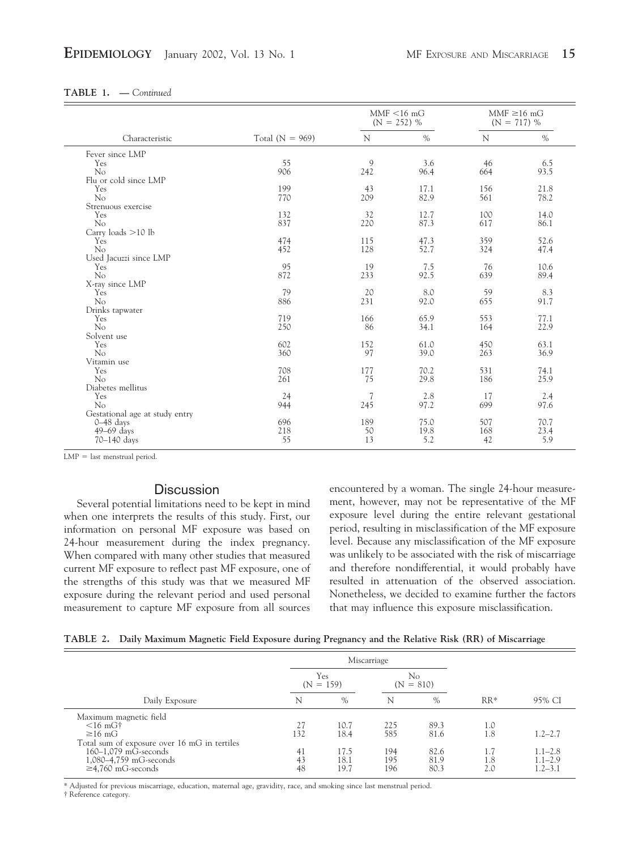|                                |                   |     | $MMF < 16$ mG<br>$(N = 252)$ % | MMF $\geq 16$ mG<br>$(N = 717) %$ |      |
|--------------------------------|-------------------|-----|--------------------------------|-----------------------------------|------|
| Characteristic                 | Total $(N = 969)$ | N   | $\%$                           | $\mathbf N$                       | $\%$ |
| Fever since LMP                |                   |     |                                |                                   |      |
| Yes                            | 55                | 9   | 3.6                            | 46                                | 6.5  |
| No                             | 906               | 242 | 96.4                           | 664                               | 93.5 |
| Flu or cold since LMP          |                   |     |                                |                                   |      |
| Yes                            | 199               | 43  | 17.1                           | 156                               | 21.8 |
| No                             | 770               | 209 | 82.9                           | 561                               | 78.2 |
| Strenuous exercise             |                   |     |                                |                                   |      |
| Yes                            | 132               | 32  | 12.7                           | 100                               | 14.0 |
| No                             | 837               | 220 | 87.3                           | 617                               | 86.1 |
| Carry loads $>10$ lb           |                   |     |                                |                                   |      |
| Yes                            | 474               | 115 | 47.3                           | 359                               | 52.6 |
| No                             | 452               | 128 | 52.7                           | 324                               | 47.4 |
| Used Jacuzzi since LMP         |                   |     |                                |                                   |      |
| Yes                            | 95                | 19  | 7.5                            | 76                                | 10.6 |
| No                             | 872               | 233 | 92.5                           | 639                               | 89.4 |
| X-ray since LMP                |                   |     |                                |                                   |      |
| Yes                            | 79                | 20  | 8.0                            | 59                                | 8.3  |
| No                             | 886               | 231 | 92.0                           | 655                               | 91.7 |
| Drinks tapwater                |                   |     |                                |                                   |      |
| Yes                            | 719               | 166 | 65.9                           | 553                               | 77.1 |
| No                             | 250               | 86  | 34.1                           | 164                               | 22.9 |
| Solvent use                    |                   |     |                                |                                   |      |
| Yes                            | 602               | 152 | 61.0                           | 450                               | 63.1 |
| No                             | 360               | 97  | 39.0                           | 263                               | 36.9 |
| Vitamin use                    |                   |     |                                |                                   |      |
| Yes                            | 708               | 177 | 70.2                           | 531                               | 74.1 |
| No                             | 261               | 75  | 29.8                           | 186                               | 25.9 |
| Diabetes mellitus              |                   |     |                                |                                   |      |
| Yes                            | 24                | 7   | 2.8                            | 17                                | 2.4  |
| No                             | 944               | 245 | 97.2                           | 699                               | 97.6 |
| Gestational age at study entry |                   |     |                                |                                   |      |
| $0 - 48$ days                  | 696               | 189 | 75.0                           | 507                               | 70.7 |
| 49-69 days                     | 218               | 50  | 19.8                           | 168                               | 23.4 |
| 70-140 days                    | 55                | 13  | 5.2                            | 42                                | 5.9  |

 $LMP =$  last menstrual period.

## **Discussion**

Several potential limitations need to be kept in mind when one interprets the results of this study. First, our information on personal MF exposure was based on 24-hour measurement during the index pregnancy. When compared with many other studies that measured current MF exposure to reflect past MF exposure, one of the strengths of this study was that we measured MF exposure during the relevant period and used personal measurement to capture MF exposure from all sources encountered by a woman. The single 24-hour measurement, however, may not be representative of the MF exposure level during the entire relevant gestational period, resulting in misclassification of the MF exposure level. Because any misclassification of the MF exposure was unlikely to be associated with the risk of miscarriage and therefore nondifferential, it would probably have resulted in attenuation of the observed association. Nonetheless, we decided to examine further the factors that may influence this exposure misclassification.

|  | TABLE 2. Daily Maximum Magnetic Field Exposure during Pregnancy and the Relative Risk (RR) of Miscarriage |  |  |  |  |  |  |  |  |
|--|-----------------------------------------------------------------------------------------------------------|--|--|--|--|--|--|--|--|
|--|-----------------------------------------------------------------------------------------------------------|--|--|--|--|--|--|--|--|

|                                                                                                                                         |                | Miscarriage          |                   |                      |                   |                                           |
|-----------------------------------------------------------------------------------------------------------------------------------------|----------------|----------------------|-------------------|----------------------|-------------------|-------------------------------------------|
|                                                                                                                                         |                | Yes<br>$(N = 159)$   |                   | No<br>$(N = 810)$    |                   |                                           |
| Daily Exposure                                                                                                                          | N              | $\%$                 | N                 | $\%$                 | $RR*$             | 95% CI                                    |
| Maximum magnetic field<br>$\leq 16$ mG <sup>+</sup><br>$\geq 16$ mG                                                                     | 27<br>132      | 10.7<br>18.4         | 225<br>585        | 89.3<br>81.6         | 1.0<br>1.8        | $1.2 - 2.7$                               |
| Total sum of exposure over 16 mG in tertiles<br>$160 - 1,079$ m $\bar{G}$ -seconds<br>1,080-4,759 mG-seconds<br>$\geq$ 4,760 mG-seconds | 41<br>43<br>48 | 17.5<br>18.1<br>19.7 | 194<br>195<br>196 | 82.6<br>81.9<br>80.3 | 1.7<br>1.8<br>2.0 | $1.1 - 2.8$<br>$1.1 - 2.9$<br>$1.2 - 3.1$ |

\* Adjusted for previous miscarriage, education, maternal age, gravidity, race, and smoking since last menstrual period. † Reference category.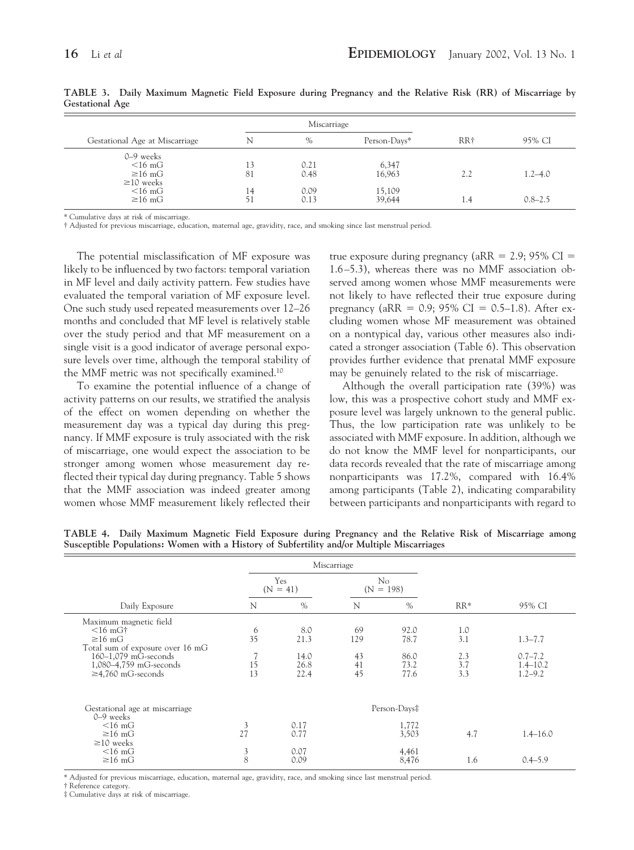|                                |    | Miscarriage |              |     |             |
|--------------------------------|----|-------------|--------------|-----|-------------|
| Gestational Age at Miscarriage | N  | $\%$        | Person-Days* | RR† | 95% CI      |
| 0–9 weeks                      |    |             |              |     |             |
| $<$ 16 mG                      |    | 0.21        | 6,347        |     |             |
| $\geq 16$ mG                   | 81 | 0.48        | 16,963       | 2.2 | $1.2 - 4.0$ |
| $\geq$ 10 weeks                |    |             |              |     |             |
| $<$ 16 mG                      | 14 | 0.09        | 15,109       |     |             |
| $\geq 16$ mG                   | 51 | 0.13        | 39,644       | 1.4 | $0.8 - 2.5$ |

**TABLE 3. Daily Maximum Magnetic Field Exposure during Pregnancy and the Relative Risk (RR) of Miscarriage by Gestational Age**

\* Cumulative days at risk of miscarriage.

† Adjusted for previous miscarriage, education, maternal age, gravidity, race, and smoking since last menstrual period.

The potential misclassification of MF exposure was likely to be influenced by two factors: temporal variation in MF level and daily activity pattern. Few studies have evaluated the temporal variation of MF exposure level. One such study used repeated measurements over 12–26 months and concluded that MF level is relatively stable over the study period and that MF measurement on a single visit is a good indicator of average personal exposure levels over time, although the temporal stability of the MMF metric was not specifically examined.10

To examine the potential influence of a change of activity patterns on our results, we stratified the analysis of the effect on women depending on whether the measurement day was a typical day during this pregnancy. If MMF exposure is truly associated with the risk of miscarriage, one would expect the association to be stronger among women whose measurement day reflected their typical day during pregnancy. Table 5 shows that the MMF association was indeed greater among women whose MMF measurement likely reflected their

true exposure during pregnancy ( $aRR = 2.9$ ; 95% CI = 1.6–5.3), whereas there was no MMF association observed among women whose MMF measurements were not likely to have reflected their true exposure during pregnancy (a $RR = 0.9$ ; 95% CI = 0.5–1.8). After excluding women whose MF measurement was obtained on a nontypical day, various other measures also indicated a stronger association (Table 6). This observation provides further evidence that prenatal MMF exposure may be genuinely related to the risk of miscarriage.

Although the overall participation rate (39%) was low, this was a prospective cohort study and MMF exposure level was largely unknown to the general public. Thus, the low participation rate was unlikely to be associated with MMF exposure. In addition, although we do not know the MMF level for nonparticipants, our data records revealed that the rate of miscarriage among nonparticipants was 17.2%, compared with 16.4% among participants (Table 2), indicating comparability between participants and nonparticipants with regard to

|                                                                                                                                                                       |                          | Miscarriage                         |                             |                                                  |                                 |                                                           |
|-----------------------------------------------------------------------------------------------------------------------------------------------------------------------|--------------------------|-------------------------------------|-----------------------------|--------------------------------------------------|---------------------------------|-----------------------------------------------------------|
|                                                                                                                                                                       |                          | Yes<br>$(N = 41)$                   |                             | No<br>$= 198$                                    |                                 |                                                           |
| Daily Exposure                                                                                                                                                        | N                        | $\%$                                | N                           | $\%$                                             | $RR*$                           | 95% CI                                                    |
| Maximum magnetic field<br>$<$ 16 mG†<br>$\geq 16$ mG<br>Total sum of exposure over 16 mG<br>160-1,079 mG-seconds<br>1,080-4,759 mG-seconds<br>$\geq$ 4,760 mG-seconds | 6<br>35<br>15<br>13      | 8.0<br>21.3<br>14.0<br>26.8<br>22.4 | 69<br>129<br>43<br>41<br>45 | 92.0<br>78.7<br>86.0<br>73.2<br>77.6             | 1.0<br>3.1<br>2.3<br>3.7<br>3.3 | $1.3 - 7.7$<br>$0.7 - 7.2$<br>$1.4 - 10.2$<br>$1.2 - 9.2$ |
| Gestational age at miscarriage<br>$0-9$ weeks<br>$<16$ mG<br>$\geq 16$ mG<br>$\geq$ 10 weeks<br>$<16$ mG<br>$\geq 16$ mG                                              | 3<br>27<br>$\frac{3}{8}$ | 0.17<br>0.77<br>0.07<br>0.09        |                             | Person-Days‡<br>1,772<br>3,503<br>4,461<br>8,476 | 4.7<br>1.6                      | $1.4 - 16.0$<br>$0.4 - 5.9$                               |

**TABLE 4. Daily Maximum Magnetic Field Exposure during Pregnancy and the Relative Risk of Miscarriage among Susceptible Populations: Women with a History of Subfertility and/or Multiple Miscarriages**

\* Adjusted for previous miscarriage, education, maternal age, gravidity, race, and smoking since last menstrual period.

† Reference category.

‡ Cumulative days at risk of miscarriage.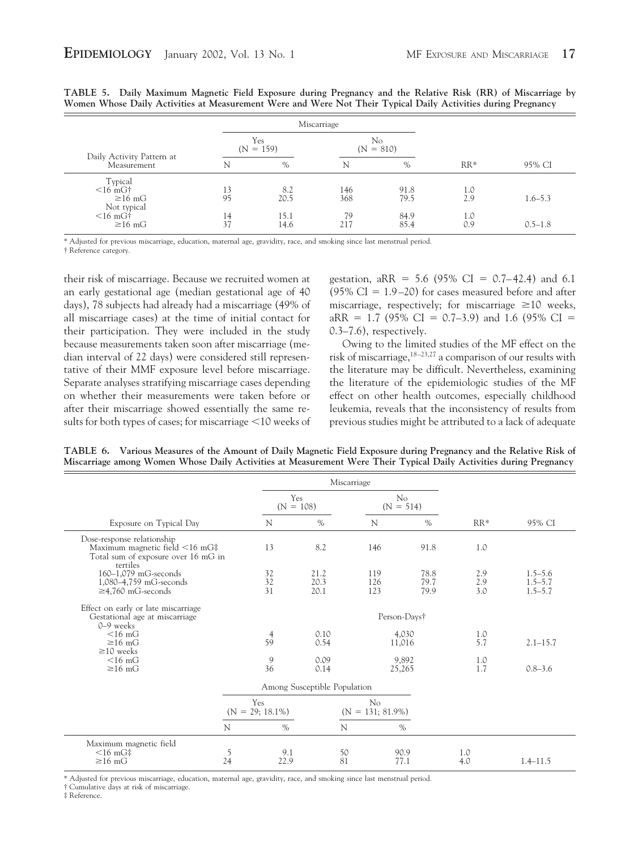|                                                                             |          |                    | Miscarriage |                         |            |             |
|-----------------------------------------------------------------------------|----------|--------------------|-------------|-------------------------|------------|-------------|
|                                                                             |          | Yes<br>$(N = 159)$ |             | $\rm No$<br>$(N = 810)$ |            |             |
| Daily Activity Pattern at<br>Measurement                                    | N        | $\%$               | N           | $\%$                    | $RR*$      | 95% CI      |
| Typical<br>$<$ 16 mG $\dagger$<br>$\geq 16$ mG                              | 13<br>95 | 8.2<br>20.5        | 146<br>368  | 91.8<br>79.5            | 1.0<br>2.9 | $1.6 - 5.3$ |
| Not typical<br>$\leq 16$ mG <sup><math>\dagger</math></sup><br>$\geq 16$ mG | 14<br>37 | 15.1<br>14.6       | 79<br>217   | 84.9<br>85.4            | 1.0<br>0.9 | $0.5 - 1.8$ |

**TABLE 5. Daily Maximum Magnetic Field Exposure during Pregnancy and the Relative Risk (RR) of Miscarriage by Women Whose Daily Activities at Measurement Were and Were Not Their Typical Daily Activities during Pregnancy**

\* Adjusted for previous miscarriage, education, maternal age, gravidity, race, and smoking since last menstrual period.

† Reference category.

their risk of miscarriage. Because we recruited women at an early gestational age (median gestational age of 40 days), 78 subjects had already had a miscarriage (49% of all miscarriage cases) at the time of initial contact for their participation. They were included in the study because measurements taken soon after miscarriage (median interval of 22 days) were considered still representative of their MMF exposure level before miscarriage. Separate analyses stratifying miscarriage cases depending on whether their measurements were taken before or after their miscarriage showed essentially the same results for both types of cases; for miscarriage  $\leq 10$  weeks of

gestation, a $RR = 5.6$  (95% CI = 0.7–42.4) and 6.1  $(95\% \text{ CI} = 1.9{\text{-}}20)$  for cases measured before and after miscarriage, respectively; for miscarriage  $\geq 10$  weeks,  $aRR = 1.7$  (95% CI = 0.7–3.9) and 1.6 (95% CI = 0.3–7.6), respectively.

Owing to the limited studies of the MF effect on the risk of miscarriage,  $18-23,27$  a comparison of our results with the literature may be difficult. Nevertheless, examining the literature of the epidemiologic studies of the MF effect on other health outcomes, especially childhood leukemia, reveals that the inconsistency of results from previous studies might be attributed to a lack of adequate

|                                                                                                                       |         | Yes<br>$(N = 108)$        |                              |                           | No<br>$(N = 514)$    |                   |                                           |
|-----------------------------------------------------------------------------------------------------------------------|---------|---------------------------|------------------------------|---------------------------|----------------------|-------------------|-------------------------------------------|
| Exposure on Typical Day                                                                                               |         | N                         | $\%$                         | N                         | $\%$                 | $RR*$             | 95% CI                                    |
| Dose-response relationship<br>Maximum magnetic field $\leq 16$ mG‡<br>Total sum of exposure over 16 mG in<br>tertiles |         | 13                        | 8.2                          | 146                       | 91.8                 | 1.0               |                                           |
| 160-1,079 mG-seconds<br>1,080-4,759 mG-seconds<br>$\geq$ 4,760 mG-seconds                                             |         | 32<br>32<br>31            | 21.2<br>20.3<br>20.1         | 119<br>126<br>123         | 78.8<br>79.7<br>79.9 | 2.9<br>2.9<br>3.0 | $1.5 - 5.6$<br>$1.5 - 5.7$<br>$1.5 - 5.7$ |
| Effect on early or late miscarriage<br>Gestational age at miscarriage<br>$0-9$ weeks                                  |         |                           |                              |                           | Person-Days†         |                   |                                           |
| $<$ 16 mG<br>$\geq 16$ mG<br>$\geq$ 10 weeks                                                                          |         | 4<br>59                   | 0.10<br>0.54                 |                           | 4,030<br>11,016      | 1.0<br>5.7        | $2.1 - 15.7$                              |
| $<$ 16 mG<br>$\geq 16$ mG                                                                                             |         | 9<br>36                   | 0.09<br>0.14                 |                           | 9,892<br>25,265      | 1.0<br>1.7        | $0.8 - 3.6$                               |
|                                                                                                                       |         |                           | Among Susceptible Population |                           |                      |                   |                                           |
|                                                                                                                       |         | Yes<br>$(N = 29; 18.1\%)$ |                              | No<br>$(N = 131; 81.9\%)$ |                      |                   |                                           |
|                                                                                                                       | N       | $\%$                      |                              | N                         | $\%$                 |                   |                                           |
| Maximum magnetic field<br>$<16$ mG‡<br>$\geq 16$ mG                                                                   | 5<br>24 | 9.1<br>22.9               |                              | 50<br>81                  | 90.9<br>77.1         | 1.0<br>4.0        | $1.4 - 11.5$                              |

**TABLE 6. Various Measures of the Amount of Daily Magnetic Field Exposure during Pregnancy and the Relative Risk of Miscarriage among Women Whose Daily Activities at Measurement Were Their Typical Daily Activities during Pregnancy**

\* Adjusted for previous miscarriage, education, maternal age, gravidity, race, and smoking since last menstrual period.

† Cumulative days at risk of miscarriage.

‡ Reference.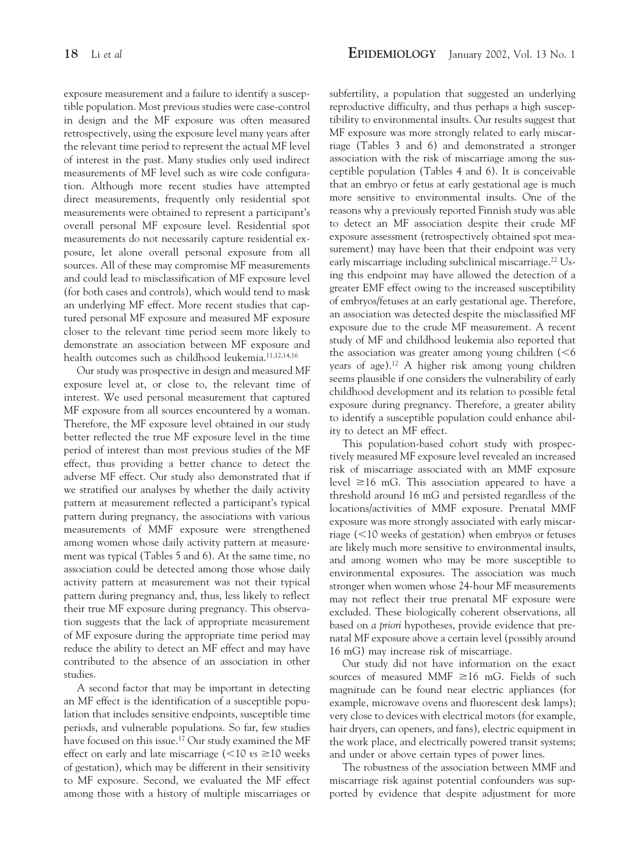exposure measurement and a failure to identify a susceptible population. Most previous studies were case-control in design and the MF exposure was often measured retrospectively, using the exposure level many years after the relevant time period to represent the actual MF level of interest in the past. Many studies only used indirect measurements of MF level such as wire code configuration. Although more recent studies have attempted direct measurements, frequently only residential spot measurements were obtained to represent a participant's overall personal MF exposure level. Residential spot measurements do not necessarily capture residential exposure, let alone overall personal exposure from all sources. All of these may compromise MF measurements and could lead to misclassification of MF exposure level (for both cases and controls), which would tend to mask an underlying MF effect. More recent studies that captured personal MF exposure and measured MF exposure closer to the relevant time period seem more likely to demonstrate an association between MF exposure and health outcomes such as childhood leukemia.11,12,14,16

Our study was prospective in design and measured MF exposure level at, or close to, the relevant time of interest. We used personal measurement that captured MF exposure from all sources encountered by a woman. Therefore, the MF exposure level obtained in our study better reflected the true MF exposure level in the time period of interest than most previous studies of the MF effect, thus providing a better chance to detect the adverse MF effect. Our study also demonstrated that if we stratified our analyses by whether the daily activity pattern at measurement reflected a participant's typical pattern during pregnancy, the associations with various measurements of MMF exposure were strengthened among women whose daily activity pattern at measurement was typical (Tables 5 and 6). At the same time, no association could be detected among those whose daily activity pattern at measurement was not their typical pattern during pregnancy and, thus, less likely to reflect their true MF exposure during pregnancy. This observation suggests that the lack of appropriate measurement of MF exposure during the appropriate time period may reduce the ability to detect an MF effect and may have contributed to the absence of an association in other studies.

A second factor that may be important in detecting an MF effect is the identification of a susceptible population that includes sensitive endpoints, susceptible time periods, and vulnerable populations. So far, few studies have focused on this issue.<sup>17</sup> Our study examined the MF effect on early and late miscarriage  $\left($  < 10  $\text{vs} \ge 10$  weeks of gestation), which may be different in their sensitivity to MF exposure. Second, we evaluated the MF effect among those with a history of multiple miscarriages or

subfertility, a population that suggested an underlying reproductive difficulty, and thus perhaps a high susceptibility to environmental insults. Our results suggest that MF exposure was more strongly related to early miscarriage (Tables 3 and 6) and demonstrated a stronger association with the risk of miscarriage among the susceptible population (Tables 4 and 6). It is conceivable that an embryo or fetus at early gestational age is much more sensitive to environmental insults. One of the reasons why a previously reported Finnish study was able to detect an MF association despite their crude MF exposure assessment (retrospectively obtained spot measurement) may have been that their endpoint was very early miscarriage including subclinical miscarriage.<sup>22</sup> Using this endpoint may have allowed the detection of a greater EMF effect owing to the increased susceptibility of embryos/fetuses at an early gestational age. Therefore, an association was detected despite the misclassified MF exposure due to the crude MF measurement. A recent study of MF and childhood leukemia also reported that the association was greater among young children  $(< 6$ years of age).12 A higher risk among young children seems plausible if one considers the vulnerability of early childhood development and its relation to possible fetal exposure during pregnancy. Therefore, a greater ability to identify a susceptible population could enhance ability to detect an MF effect.

This population-based cohort study with prospectively measured MF exposure level revealed an increased risk of miscarriage associated with an MMF exposure level  $\geq 16$  mG. This association appeared to have a threshold around 16 mG and persisted regardless of the locations/activities of MMF exposure. Prenatal MMF exposure was more strongly associated with early miscarriage  $(<10$  weeks of gestation) when embryos or fetuses are likely much more sensitive to environmental insults, and among women who may be more susceptible to environmental exposures. The association was much stronger when women whose 24-hour MF measurements may not reflect their true prenatal MF exposure were excluded. These biologically coherent observations, all based on *a priori* hypotheses, provide evidence that prenatal MF exposure above a certain level (possibly around 16 mG) may increase risk of miscarriage.

Our study did not have information on the exact sources of measured MMF  $\geq 16$  mG. Fields of such magnitude can be found near electric appliances (for example, microwave ovens and fluorescent desk lamps); very close to devices with electrical motors (for example, hair dryers, can openers, and fans), electric equipment in the work place, and electrically powered transit systems; and under or above certain types of power lines.

The robustness of the association between MMF and miscarriage risk against potential confounders was supported by evidence that despite adjustment for more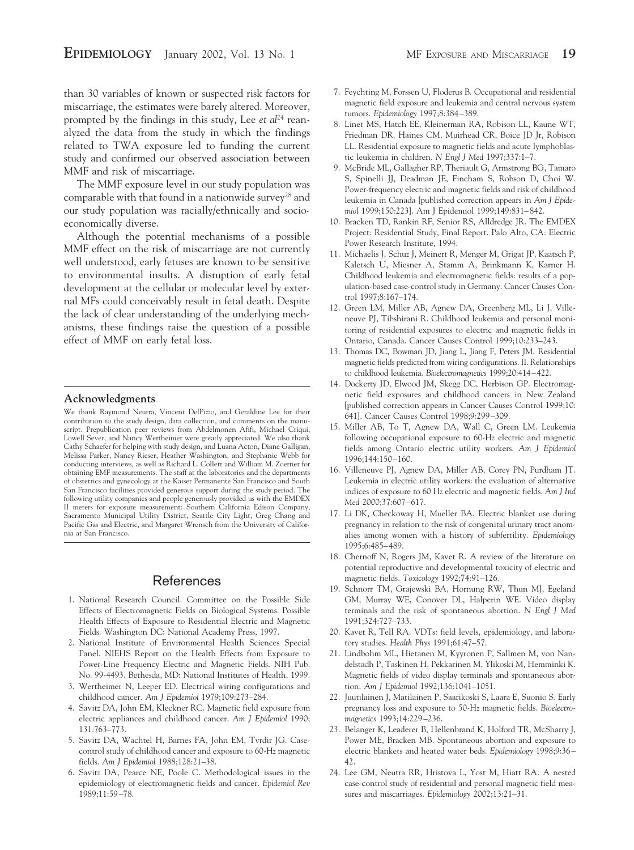than 30 variables of known or suspected risk factors for miscarriage, the estimates were barely altered. Moreover, prompted by the findings in this study, Lee *et al*<sup>24</sup> reanalyzed the data from the study in which the findings related to TWA exposure led to funding the current study and confirmed our observed association between MMF and risk of miscarriage.

The MMF exposure level in our study population was comparable with that found in a nationwide survey<sup>28</sup> and our study population was racially/ethnically and socioeconomically diverse.

Although the potential mechanisms of a possible MMF effect on the risk of miscarriage are not currently well understood, early fetuses are known to be sensitive to environmental insults. A disruption of early fetal development at the cellular or molecular level by external MFs could conceivably result in fetal death. Despite the lack of clear understanding of the underlying mechanisms, these findings raise the question of a possible effect of MMF on early fetal loss.

#### **Acknowledgments**

We thank Raymond Neutra, Vincent DelPizzo, and Geraldine Lee for their contribution to the study design, data collection, and comments on the manuscript. Prepublication peer reviews from Abdelmonen Afifi, Michael Criqui, Lowell Sever, and Nancy Wertheimer were greatly appreciated. We also thank Cathy Schaefer for helping with study design, and Luana Acton, Diane Galligan, Melissa Parker, Nancy Rieser, Heather Washington, and Stephanie Webb for conducting interviews, as well as Richard L. Collett and William M. Zoerner for obtaining EMF measurements. The staff at the laboratories and the departments of obstetrics and gynecology at the Kaiser Permanente San Francisco and South San Francisco facilities provided generous support during the study period. The following utility companies and people generously provided us with the EMDEX II meters for exposure measurement: Southern California Edison Company, Sacramento Municipal Utility District, Seattle City Light, Greg Chang and Pacific Gas and Electric, and Margaret Wrensch from the University of California at San Francisco.

## References

- 1. National Research Council. Committee on the Possible Side Effects of Electromagnetic Fields on Biological Systems. Possible Health Effects of Exposure to Residential Electric and Magnetic Fields. Washington DC: National Academy Press, 1997.
- 2. National Institute of Environmental Health Sciences Special Panel. NIEHS Report on the Health Effects from Exposure to Power-Line Frequency Electric and Magnetic Fields. NIH Pub. No. 99-4493. Bethesda, MD: National Institutes of Health, 1999.
- 3. Wertheimer N, Leeper ED. Electrical wiring configurations and childhood cancer. *Am J Epidemiol* 1979;109:273–284.
- 4. Savitz DA, John EM, Kleckner RC. Magnetic field exposure from electric appliances and childhood cancer. *Am J Epidemiol* 1990; 131:763–773.
- 5. Savitz DA, Wachtel H, Barnes FA, John EM, Tvrdir JG. Casecontrol study of childhood cancer and exposure to 60-Hz magnetic fields. *Am J Epidemiol* 1988;128:21–38.
- 6. Savitz DA, Pearce NE, Poole C. Methodological issues in the epidemiology of electromagnetic fields and cancer. *Epidemiol Rev* 1989;11:59–78.
- 7. Feychting M, Forssen U, Floderus B. Occupational and residential magnetic field exposure and leukemia and central nervous system tumors. *Epidemiology* 1997;8:384–389.
- 8. Linet MS, Hatch EE, Kleinerman RA, Robison LL, Kaune WT, Friedman DR, Haines CM, Muirhead CR, Boice JD Jr, Robison LL. Residential exposure to magnetic fields and acute lymphoblastic leukemia in children. *N Engl J Med* 1997;337:1–7.
- 9. McBride ML, Gallagher RP, Theriault G, Armstrong BG, Tamaro S, Spinelli JJ, Deadman JE, Fincham S, Robson D, Choi W. Power-frequency electric and magnetic fields and risk of childhood leukemia in Canada [published correction appears in *Am J Epidemiol* 1999;150:223]. Am J Epidemiol 1999;149:831–842.
- 10. Bracken TD, Rankin RF, Senior RS, Alldredge JR. The EMDEX Project: Residential Study, Final Report. Palo Alto, CA: Electric Power Research Institute, 1994.
- 11. Michaelis J, Schuz J, Meinert R, Menger M, Grigat JP, Kaatsch P, Kaletsch U, Miesner A, Stamm A, Brinkmann K, Karner H. Childhood leukemia and electromagnetic fields: results of a population-based case-control study in Germany. Cancer Causes Control 1997;8:167–174.
- 12. Green LM, Miller AB, Agnew DA, Greenberg ML, Li J, Villeneuve PJ, Tibshirani R. Childhood leukemia and personal monitoring of residential exposures to electric and magnetic fields in Ontario, Canada. Cancer Causes Control 1999;10:233–243.
- 13. Thomas DC, Bowman JD, Jiang L, Jiang F, Peters JM. Residential magnetic fields predicted from wiring configurations. II. Relationships to childhood leukemia. *Bioelectromagnetics* 1999;20:414–422.
- 14. Dockerty JD, Elwood JM, Skegg DC, Herbison GP. Electromagnetic field exposures and childhood cancers in New Zealand [published correction appears in Cancer Causes Control 1999;10: 641]. Cancer Causes Control 1998;9:299–309.
- 15. Miller AB, To T, Agnew DA, Wall C, Green LM. Leukemia following occupational exposure to 60-Hz electric and magnetic fields among Ontario electric utility workers. *Am J Epidemiol* 1996;144:150–160.
- 16. Villeneuve PJ, Agnew DA, Miller AB, Corey PN, Purdham JT. Leukemia in electric utility workers: the evaluation of alternative indices of exposure to 60 Hz electric and magnetic fields. *Am J Ind Med* 2000;37:607–617.
- 17. Li DK, Checkoway H, Mueller BA. Electric blanket use during pregnancy in relation to the risk of congenital urinary tract anomalies among women with a history of subfertility. *Epidemiology* 1995;6:485–489.
- 18. Chernoff N, Rogers JM, Kavet R. A review of the literature on potential reproductive and developmental toxicity of electric and magnetic fields. *Toxicology* 1992;74:91–126.
- 19. Schnorr TM, Grajewski BA, Hornung RW, Thun MJ, Egeland GM, Murray WE, Conover DL, Halperin WE. Video display terminals and the risk of spontaneous abortion. *N Engl J Med* 1991;324:727–733.
- 20. Kavet R, Tell RA. VDTs: field levels, epidemiology, and laboratory studies. *Health Phys* 1991;61:47–57.
- 21. Lindbohm ML, Hietanen M, Kyyronen P, Sallmen M, von Nandelstadh P, Taskinen H, Pekkarinen M, Ylikoski M, Hemminki K. Magnetic fields of video display terminals and spontaneous abortion. *Am J Epidemiol* 1992;136:1041–1051.
- 22. Juutilainen J, Matilainen P, Saarikoski S, Laara E, Suonio S. Early pregnancy loss and exposure to 50-Hz magnetic fields. *Bioelectromagnetics* 1993;14:229–236.
- 23. Belanger K, Leaderer B, Hellenbrand K, Holford TR, McSharry J, Power ME, Bracken MB. Spontaneous abortion and exposure to electric blankets and heated water beds. *Epidemiology* 1998;9:36– 42.
- 24. Lee GM, Neutra RR, Hristova L, Yost M, Hiatt RA. A nested case-control study of residential and personal magnetic field measures and miscarriages. *Epidemiology* 2002;13:21–31.